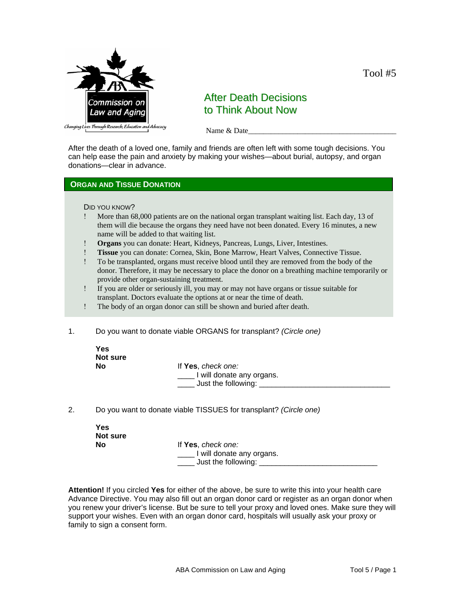

# After Death Decisions to Think About Now

Name & Date

After the death of a loved one, family and friends are often left with some tough decisions. You can help ease the pain and anxiety by making your wishes—about burial, autopsy, and organ donations—clear in advance.

## **ORGAN AND TISSUE DONATION**

### DID YOU KNOW?

- ! More than 68,000 patients are on the national organ transplant waiting list. Each day, 13 of them will die because the organs they need have not been donated. Every 16 minutes, a new name will be added to that waiting list.
- ! **Organs** you can donate: Heart, Kidneys, Pancreas, Lungs, Liver, Intestines.
- ! **Tissue** you can donate: Cornea, Skin, Bone Marrow, Heart Valves, Connective Tissue.
- ! To be transplanted, organs must receive blood until they are removed from the body of the donor. Therefore, it may be necessary to place the donor on a breathing machine temporarily or provide other organ-sustaining treatment.
- ! If you are older or seriously ill, you may or may not have organs or tissue suitable for transplant. Doctors evaluate the options at or near the time of death.
- ! The body of an organ donor can still be shown and buried after death.
- 1. Do you want to donate viable ORGANS for transplant? *(Circle one)*

| Yes<br>Not sure |                                                                           |
|-----------------|---------------------------------------------------------------------------|
| No              | If Yes, check one:<br>I will donate any organs.<br>Just the following: __ |

2. Do you want to donate viable TISSUES for transplant? *(Circle one)*

| <b>Yes</b><br>Not sure |                                                                          |
|------------------------|--------------------------------------------------------------------------|
| No                     | If Yes, check one:<br>I will donate any organs.<br>Just the following: _ |

**Attention!** If you circled **Yes** for either of the above, be sure to write this into your health care Advance Directive. You may also fill out an organ donor card or register as an organ donor when you renew your driver's license. But be sure to tell your proxy and loved ones. Make sure they will support your wishes. Even with an organ donor card, hospitals will usually ask your proxy or family to sign a consent form.

Tool #5